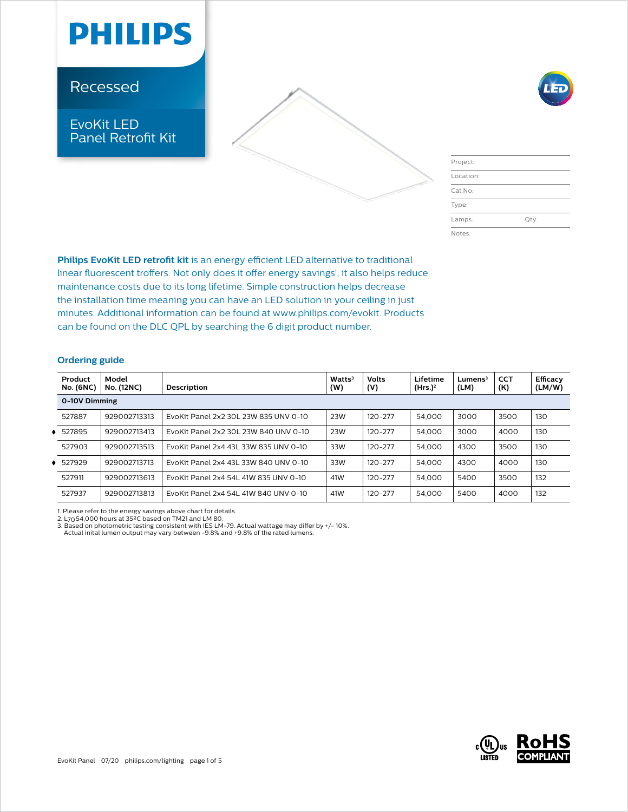

Recessed

### EvoKit LED Panel Retrofit Kit



| ۹ |
|---|

| Project:  |      |
|-----------|------|
| Location: |      |
| Cat.No:   |      |
| Type:     |      |
| Lamps:    | Qty: |
| Notes:    |      |

**Philips EvoKit LED retrofit kit** is an energy efficient LED alternative to traditional linear fluorescent troffers. Not only does it offer energy savings<sup>1</sup>, it also helps reduce maintenance costs due to its long lifetime. Simple construction helps decrease the installation time meaning you can have an LED solution in your ceiling in just minutes. Additional information can be found at www.philips.com/evokit. Products can be found on the DLC QPL by searching the 6 digit product number.

### **Ordering guide**

|               | Product<br><b>No. (6NC)</b> | Model<br><b>No. (12NC)</b> | Description                           | Watts <sup>3</sup><br>(W) | <b>Volts</b><br>(V) | Lifetime<br>(Hrs.) <sup>2</sup> | $L$ umens $3$<br>(LM) | <b>CCT</b><br>(K) | Efficacy<br>(LM/W) |  |
|---------------|-----------------------------|----------------------------|---------------------------------------|---------------------------|---------------------|---------------------------------|-----------------------|-------------------|--------------------|--|
| 0-10V Dimming |                             |                            |                                       |                           |                     |                                 |                       |                   |                    |  |
|               | 527887                      | 929002713313               | EvoKit Panel 2x2 30L 23W 835 UNV 0-10 | 23W                       | 120-277             | 54,000                          | 3000                  | 3500              | 130                |  |
|               | 527895                      | 929002713413               | EvoKit Panel 2x2 30L 23W 840 UNV 0-10 | 23W                       | $120 - 277$         | 54,000                          | 3000                  | 4000              | 130                |  |
|               | 527903                      | 929002713513               | EvoKit Panel 2x4 43L 33W 835 UNV 0-10 | 33W                       | $120 - 277$         | 54,000                          | 4300                  | 3500              | 130                |  |
|               | 527929                      | 929002713713               | EvoKit Panel 2x4 43L 33W 840 UNV 0-10 | 33W                       | $120 - 277$         | 54,000                          | 4300                  | 4000              | 130                |  |
|               | 527911                      | 929002713613               | EvoKit Panel 2x4 54L 41W 835 UNV 0-10 | 41W                       | $120 - 277$         | 54,000                          | 5400                  | 3500              | 132                |  |
|               | 527937                      | 929002713813               | EvoKit Panel 2x4 54L 41W 840 UNV 0-10 | 41W                       | $120 - 277$         | 54,000                          | 5400                  | 4000              | 132                |  |

1. Please refer to the energy savings above chart for details.<br>2. L70 54,000 hours at 35ºC based on TM21 and LM 80.<br>3. Based on photometric testing consistent with IES LM-79. Actual wattage may differ by +/- 10%.<br>- Actual

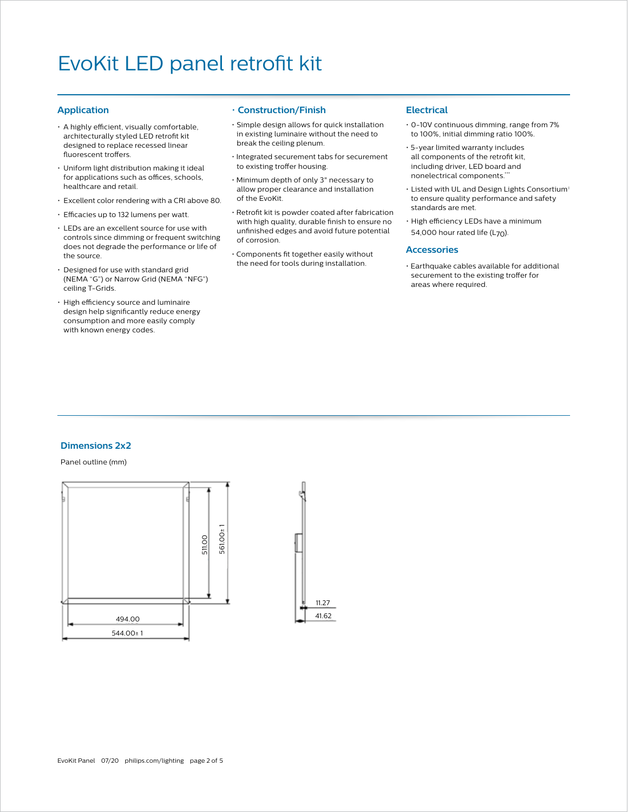#### **Application**

- A highly efficient, visually comfortable, architecturally styled LED retrofit kit designed to replace recessed linear fluorescent troffers.
- Uniform light distribution making it ideal for applications such as offices, schools, healthcare and retail.
- Excellent color rendering with a CRI above 80.
- Efficacies up to 132 lumens per watt.
- LEDs are an excellent source for use with controls since dimming or frequent switching does not degrade the performance or life of the source.
- Designed for use with standard grid (NEMA "G") or Narrow Grid (NEMA "NFG") ceiling T-Grids.
- High efficiency source and luminaire design help significantly reduce energy consumption and more easily comply with known energy codes.

#### • **Construction/Finish**

- Simple design allows for quick installation in existing luminaire without the need to break the ceiling plenum.
- Integrated securement tabs for securement to existing troffer housing.
- Minimum depth of only 3" necessary to allow proper clearance and installation of the EvoKit.
- Retrofit kit is powder coated after fabrication with high quality, durable finish to ensure no unfinished edges and avoid future potential of corrosion.
- Components fit together easily without the need for tools during installation.

#### **Electrical**

- 0-10V continuous dimming, range from 7% to 100%, initial dimming ratio 100%.
- 5-year limited warranty includes all components of the retrofit kit, including driver, LED board and nonelectrical components.\*\*
- Listed with UL and Design Lights Consortium<sup>®</sup> to ensure quality performance and safety standards are met.
- High efficiency LEDs have a minimum 54,000 hour rated life ( $L_{70}$ ).

#### **Accessories**

• Earthquake cables available for additional securement to the existing troffer for areas where required.

### **Dimensions 2x2**

#### Panel outline (mm)



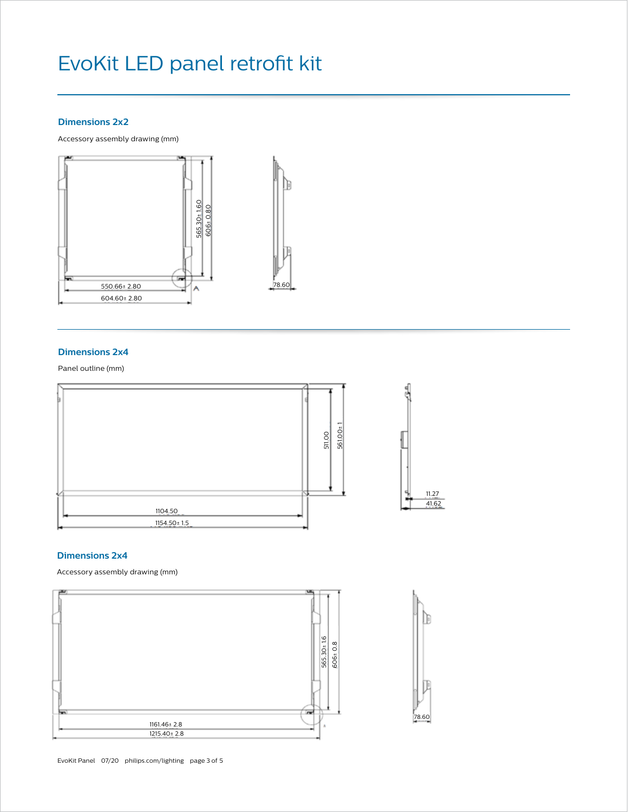#### **Dimensions 2x2**

Accessory assembly drawing (mm)



#### **Dimensions 2x4**

Panel outline (mm)



#### **Dimensions 2x4**

Accessory assembly drawing (mm)



78.60

T

B

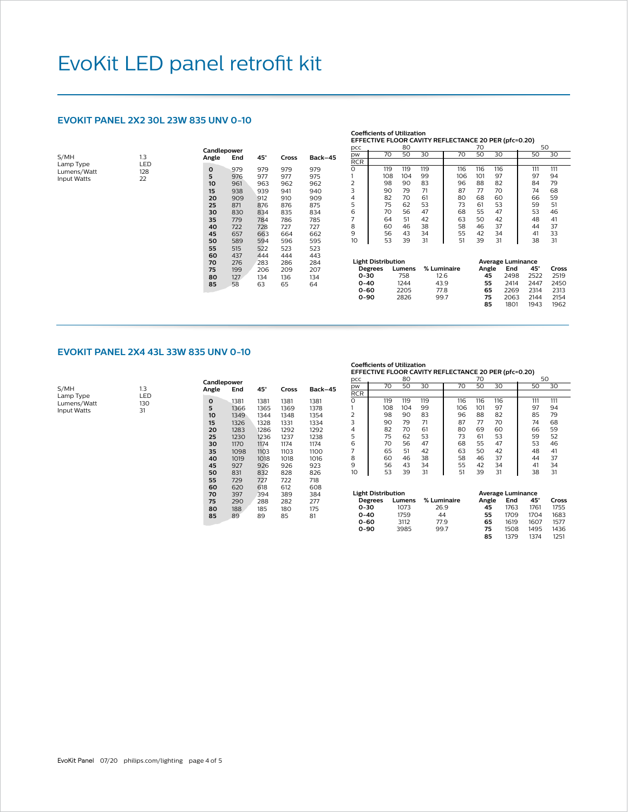#### **EVOKIT PANEL 2X2 30L 23W 835 UNV 0-10**

 $1.3$ 

| S/MH               | 1.3        |
|--------------------|------------|
| Lamp Type          | <b>LED</b> |
| Lumens/Watt        | 128        |
| <b>Input Watts</b> | フフ         |

| Candlepower<br>Angle | End | 45° | Cross | Back-45 |
|----------------------|-----|-----|-------|---------|
| O                    | 979 | 979 | 979   | 979     |
| 5                    | 976 | 977 | 977   | 975     |
| 10                   | 961 | 963 | 962   | 962     |
| 15                   | 938 | 939 | 941   | 940     |
| 20                   | 909 | 912 | 910   | 909     |
| 25                   | 871 | 876 | 876   | 875     |
| 30                   | 830 | 834 | 835   | 834     |
| 35                   | 779 | 784 | 786   | 785     |
| 40                   | 722 | 728 | 727   | 727     |
| 45                   | 657 | 663 | 664   | 662     |
| 50                   | 589 | 594 | 596   | 595     |
| 55                   | 515 | 522 | 523   | 523     |
| 60                   | 437 | 444 | 444   | 443     |
| 70                   | 276 | 283 | 286   | 284     |
| 75                   | 199 | 206 | 209   | 207     |
| 80                   | 127 | 134 | 136   | 134     |
| 85                   | 58  | 63  | 65    | 64      |
|                      |     |     |       |         |

|     | Coefficients of Utilization                          |    |  |  |  |  |  |  |  |  |  |
|-----|------------------------------------------------------|----|--|--|--|--|--|--|--|--|--|
|     | EFFECTIVE FLOOR CAVITY REFLECTANCE 20 PER (pfc=0.20) |    |  |  |  |  |  |  |  |  |  |
| pcc |                                                      | RΩ |  |  |  |  |  |  |  |  |  |
|     |                                                      |    |  |  |  |  |  |  |  |  |  |

| pw         | 70  | 50  | 30  | 70  | 50  | 30  | 50  | 30  |  |
|------------|-----|-----|-----|-----|-----|-----|-----|-----|--|
| <b>RCR</b> |     |     |     |     |     |     |     |     |  |
| 0          | 119 | 119 | 119 | 116 | 116 | 116 | 111 | 111 |  |
|            | 108 | 104 | 99  | 106 | 101 | 97  | 97  | 94  |  |
| 2          | 98  | 90  | 83  | 96  | 88  | 82  | 84  | 79  |  |
| 3          | 90  | 79  | 71  | 87  | 77  | 70  | 74  | 68  |  |
| 4          | 82  | 70  | 61  | 80  | 68  | 60  | 66  | 59  |  |
| 5          | 75  | 62  | 53  | 73  | 61  | 53  | 59  | 51  |  |
| 6          | 70  | 56  | 47  | 68  | 55  | 47  | 53  | 46  |  |
|            | 64  | 51  | 42  | 63  | 50  | 42  | 48  | 41  |  |
| 8          | 60  | 46  | 38  | 58  | 46  | 37  | 44  | 37  |  |
| 9          | 56  | 43  | 34  | 55  | 42  | 34  | 41  | 33  |  |
| 10         | 53  | 39  | 31  | 51  | 39  | 31  | 38  | 31  |  |

| <b>Light Distribution</b> |        |             | <b>Average Luminance</b> |      |      |       |  |  |
|---------------------------|--------|-------------|--------------------------|------|------|-------|--|--|
| <b>Degrees</b>            | Lumens | % Luminaire | Angle                    | End  | 45°  | Cross |  |  |
| $0 - 30$                  | 758    | 12.6        | 45                       | 2498 | 2522 | 2519  |  |  |
| $0 - 40$                  | 1244   | 43.9        | 55                       | 2414 | 2447 | 2450  |  |  |
| 0-60                      | 2205   | 77.8        | 65                       | 2269 | 2314 | 2313  |  |  |
| $0 - 90$                  | 2826   | 997         | 75                       | 2063 | 2144 | 2154  |  |  |
|                           |        |             | 85                       | 1801 | 1943 | 1962  |  |  |

#### **EVOKIT PANEL 2X4 43L 33W 835 UNV 0-10**

| S/MH        | 13   |
|-------------|------|
| Lamp Type   | I ED |
| Lumens/Watt | 130  |
| Input Watts | 31   |
|             |      |

| Candlepower |      |      |       |         |  |  |  |  |  |
|-------------|------|------|-------|---------|--|--|--|--|--|
| Angle       | End  | 45°  | Cross | Back-45 |  |  |  |  |  |
| O           | 1381 | 1381 | 1381  | 1381    |  |  |  |  |  |
| 5           | 1366 | 1365 | 1369  | 1378    |  |  |  |  |  |
| 10          | 1349 | 1344 | 1348  | 1354    |  |  |  |  |  |
| 15          | 1326 | 1328 | 1331  | 1334    |  |  |  |  |  |
| 20          | 1283 | 1286 | 1292  | 1292    |  |  |  |  |  |
| 25          | 1230 | 1236 | 1237  | 1238    |  |  |  |  |  |
| 30          | 1170 | 1174 | 1174  | 1174    |  |  |  |  |  |
| 35          | 1098 | 1103 | 1103  | 1100    |  |  |  |  |  |
| 40          | 1019 | 1018 | 1018  | 1016    |  |  |  |  |  |
| 45          | 927  | 926  | 926   | 923     |  |  |  |  |  |
| 50          | 831  | 832  | 828   | 826     |  |  |  |  |  |
| 55          | 729  | 727  | 722   | 718     |  |  |  |  |  |
| 60          | 620  | 618  | 612   | 608     |  |  |  |  |  |
| 70          | 397  | 394  | 389   | 384     |  |  |  |  |  |
| 75          | 290  | 288  | 282   | 277     |  |  |  |  |  |
| 80          | 188  | 185  | 180   | 175     |  |  |  |  |  |
| 85          | 89   | 89   | 85    | 81      |  |  |  |  |  |
|             |      |      |       |         |  |  |  |  |  |

**Coefficients of Utilization EFFECTIVE FLOOR CAVITY REFLECTANCE 20 PER (pfc=0.20)**

| pcc            |     | 80  |     |     | 70  |     | 50  |     |
|----------------|-----|-----|-----|-----|-----|-----|-----|-----|
| pw             | 70  | 50  | 30  | 70  | 50  | 30  | 50  | 30  |
| <b>RCR</b>     |     |     |     |     |     |     |     |     |
| $\overline{O}$ | 119 | 119 | 119 | 116 | 116 | 116 | 111 | 111 |
|                | 108 | 104 | 99  | 106 | 101 | 97  | 97  | 94  |
| $\overline{2}$ | 98  | 90  | 83  | 96  | 88  | 82  | 85  | 79  |
| 3              | 90  | 79  | 71  | 87  | 77  | 70  | 74  | 68  |
| 4              | 82  | 70  | 61  | 80  | 69  | 60  | 66  | 59  |
| 5              | 75  | 62  | 53  | 73  | 61  | 53  | 59  | 52  |
| 6              | 70  | 56  | 47  | 68  | 55  | 47  | 53  | 46  |
| 7              | 65  | 51  | 42  | 63  | 50  | 42  | 48  | 41  |
| 8              | 60  | 46  | 38  | 58  | 46  | 37  | 44  | 37  |
| 9              | 56  | 43  | 34  | 55  | 42  | 34  | 41  | 34  |
| 10             | 53  | 39  | 31  | 51  | 39  | 31  | 38  | 31  |

| <b>Light Distribution</b> |        |             | <b>Average Luminance</b> |      |      |       |
|---------------------------|--------|-------------|--------------------------|------|------|-------|
| <b>Degrees</b>            | Lumens | % Luminaire | Angle                    | End  | 45°  | Cross |
| $0 - 30$                  | 1073   | 26.9        | 45                       | 1763 | 1761 | 1755  |
| $0 - 40$                  | 1759   | 44          | 55                       | 1709 | 1704 | 1683  |
| 0-60                      | 3112   | 77.9        | 65                       | 1619 | 1607 | 1577  |
| $0 - 90$                  | 3985   | 997         | 75                       | 1508 | 1495 | 1436  |
|                           |        |             | 85                       | 1379 | 1374 | 1251  |